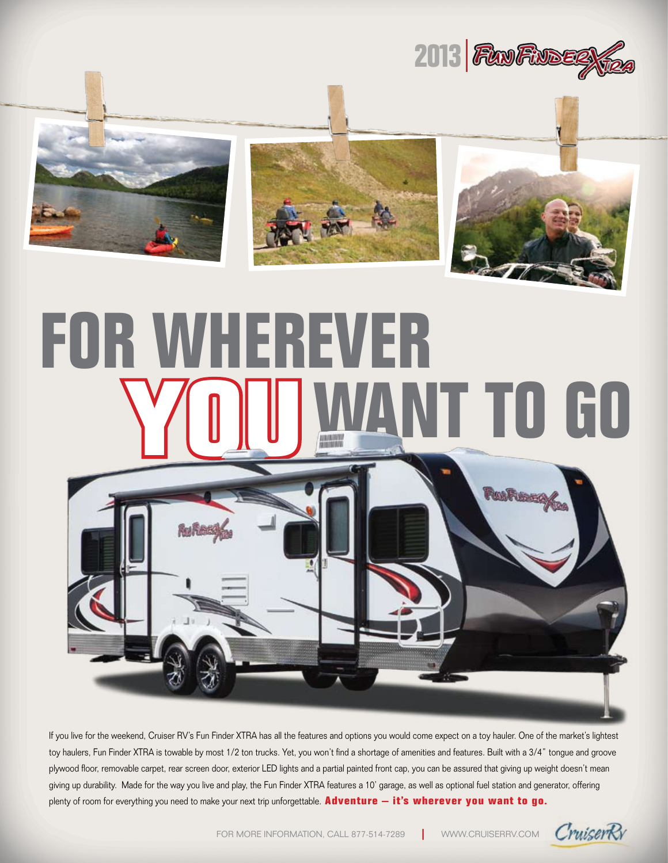







# **For Wherever TO GO**



If you live for the weekend, Cruiser RV's Fun Finder XTRA has all the features and options you would come expect on a toy hauler. One of the market's lightest toy haulers, Fun Finder XTRA is towable by most 1/2 ton trucks. Yet, you won't find a shortage of amenities and features. Built with a 3/4" tongue and groove plywood floor, removable carpet, rear screen door, exterior LED lights and a partial painted front cap, you can be assured that giving up weight doesn't mean giving up durability. Made for the way you live and play, the Fun Finder XTRA features a 10' garage, as well as optional fuel station and generator, offering plenty of room for everything you need to make your next trip unforgettable. **Adventure – it's wherever you want to go.**